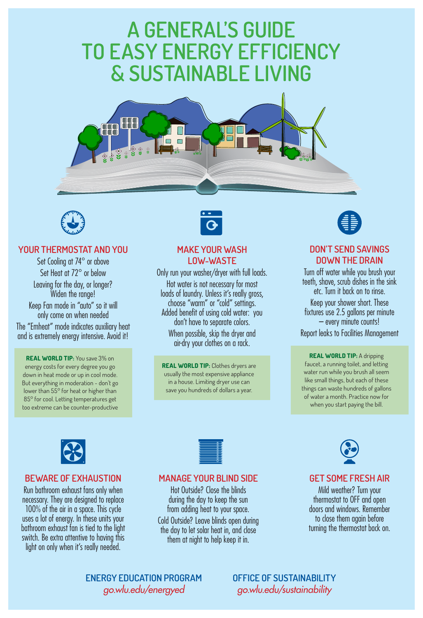# **A GENERAL'S GUIDE TO EASY ENERGY EFFICIENCY & SUSTAINABLE LIVING**





### **DON'T SEND SAVINGS DOWN THE DRAIN**

Turn off water while you brush your teeth, shave, scrub dishes in the sink etc. Turn it back on to rinse. Keep your shower short. These fixtures use 2.5 gallons per minute – every minute counts! Report leaks to Facilities Management

Set Cooling at 74° or above Set Heat at 72° or below Leaving for the day, or longer? Widen the range! Keep Fan mode in "auto" so it will only come on when needed The "Emheat" mode indicates auxiliary heat and is extremely energy intensive. Avoid it!

> **REAL WORLD TIP:** A dripping faucet, a running toilet, and letting water run while you brush all seem like small things, but each of these things can waste hundreds of gallons of water a month. Practice now for when you start paying the bill.

#### **YOUR THERMOSTAT AND YOU**

**REAL WORLD TIP:** You save 3% on energy costs for every degree you go down in heat mode or up in cool mode. But everything in moderation - don't go lower than 55° for heat or higher than 85° for cool. Letting temperatures get





## **GET SOME FRESH AIR**

Mild weather? Turn your thermostat to OFF and open doors and windows. Remember to close them again before turning the thermostat back on.

### **BEWARE OF EXHAUSTION**

Run bathroom exhaust fans only when necessary. They are designed to replace 100% of the air in a space. This cycle uses a lot of energy. In these units your bathroom exhaust fan is tied to the light switch. Be extra attentive to having this light on only when it's really needed.



### **MANAGE YOUR BLIND SIDE**

Hot Outside? Close the blinds during the day to keep the sun from adding heat to your space. Cold Outside? Leave blinds open during the day to let solar heat in, and close them at night to help keep it in.



#### **MAKE YOUR WASH LOW-WASTE**

Only run your washer/dryer with full loads. Hot water is not necessary for most loads of laundry. Unless it's really gross, choose "warm" or "cold" settings. Added benefit of using cold water: you don't have to separate colors. When possible, skip the dryer and air-dry your clothes on a rack.

**REAL WORLD TIP:** Clothes dryers are usually the most expensive appliance in a house. Limiting dryer use can save you hundreds of dollars a year.



**OFFICE OF SUSTAINABILITY** *go.wlu.edu/sustainability*

**ENERGY EDUCATION PROGRAM** *go.wlu.edu/energyed*